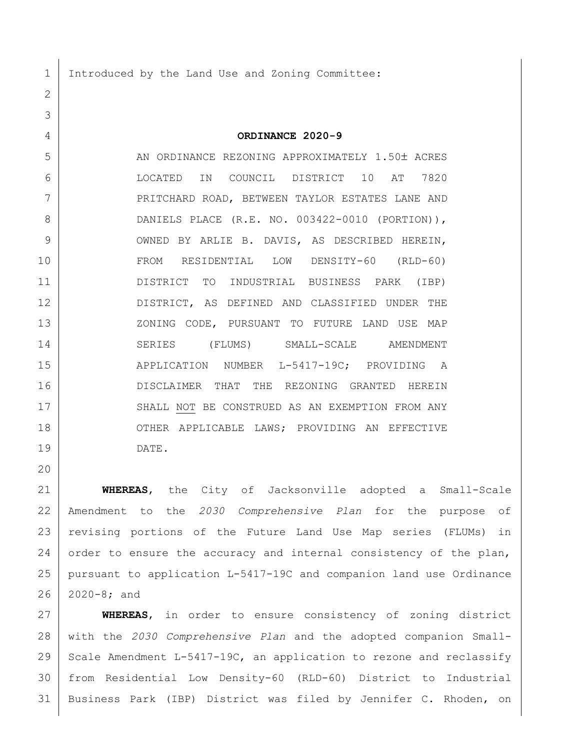1 Introduced by the Land Use and Zoning Committee:

2

3

20

4 **ORDINANCE 2020-9**

5 AN ORDINANCE REZONING APPROXIMATELY 1.50± ACRES 6 LOCATED IN COUNCIL DISTRICT 10 AT 7820 7 | PRITCHARD ROAD, BETWEEN TAYLOR ESTATES LANE AND 8 DANIELS PLACE (R.E. NO. 003422-0010 (PORTION)), 9 OWNED BY ARLIE B. DAVIS, AS DESCRIBED HEREIN, 10 FROM RESIDENTIAL LOW DENSITY-60 (RLD-60) 11 DISTRICT TO INDUSTRIAL BUSINESS PARK (IBP) 12 DISTRICT, AS DEFINED AND CLASSIFIED UNDER THE 13 XONING CODE, PURSUANT TO FUTURE LAND USE MAP 14 SERIES (FLUMS) SMALL-SCALE AMENDMENT 15 | APPLICATION NUMBER L-5417-19C; PROVIDING A 16 DISCLAIMER THAT THE REZONING GRANTED HEREIN 17 SHALL NOT BE CONSTRUED AS AN EXEMPTION FROM ANY 18 OTHER APPLICABLE LAWS; PROVIDING AN EFFECTIVE 19 DATE.

 **WHEREAS**, the City of Jacksonville adopted a Small-Scale Amendment to the *2030 Comprehensive Plan* for the purpose of revising portions of the Future Land Use Map series (FLUMs) in 24 order to ensure the accuracy and internal consistency of the plan, pursuant to application L-5417-19C and companion land use Ordinance 2020-8; and

 **WHEREAS**, in order to ensure consistency of zoning district with the *2030 Comprehensive Plan* and the adopted companion Small-29 Scale Amendment L-5417-19C, an application to rezone and reclassify from Residential Low Density-60 (RLD-60) District to Industrial Business Park (IBP) District was filed by Jennifer C. Rhoden, on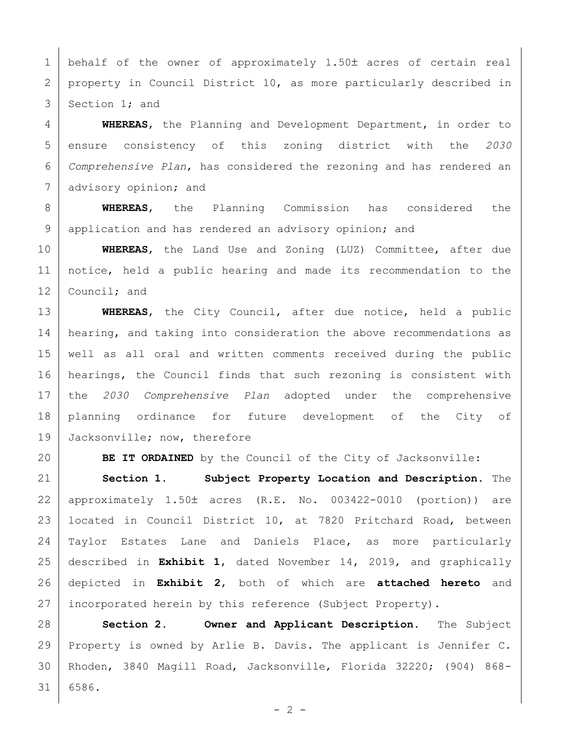1 behalf of the owner of approximately 1.50 $\pm$  acres of certain real 2 property in Council District 10, as more particularly described in 3 Section 1; and

 **WHEREAS**, the Planning and Development Department, in order to ensure consistency of this zoning district with the *2030 Comprehensive Plan*, has considered the rezoning and has rendered an 7 advisory opinion; and

 **WHEREAS**, the Planning Commission has considered the 9 application and has rendered an advisory opinion; and

 **WHEREAS**, the Land Use and Zoning (LUZ) Committee, after due notice, held a public hearing and made its recommendation to the 12 Council; and

 **WHEREAS**, the City Council, after due notice, held a public 14 | hearing, and taking into consideration the above recommendations as well as all oral and written comments received during the public hearings, the Council finds that such rezoning is consistent with the *2030 Comprehensive Plan* adopted under the comprehensive planning ordinance for future development of the City of 19 Jacksonville; now, therefore

**BE IT ORDAINED** by the Council of the City of Jacksonville:

 **Section 1. Subject Property Location and Description.** The 22 | approximately  $1.50\pm$  acres (R.E. No. 003422-0010 (portion)) are located in Council District 10, at 7820 Pritchard Road, between Taylor Estates Lane and Daniels Place, as more particularly described in **Exhibit 1**, dated November 14, 2019, and graphically depicted in **Exhibit 2**, both of which are **attached hereto** and 27 incorporated herein by this reference (Subject Property).

 **Section 2. Owner and Applicant Description.** The Subject Property is owned by Arlie B. Davis. The applicant is Jennifer C. Rhoden, 3840 Magill Road, Jacksonville, Florida 32220; (904) 868- 6586.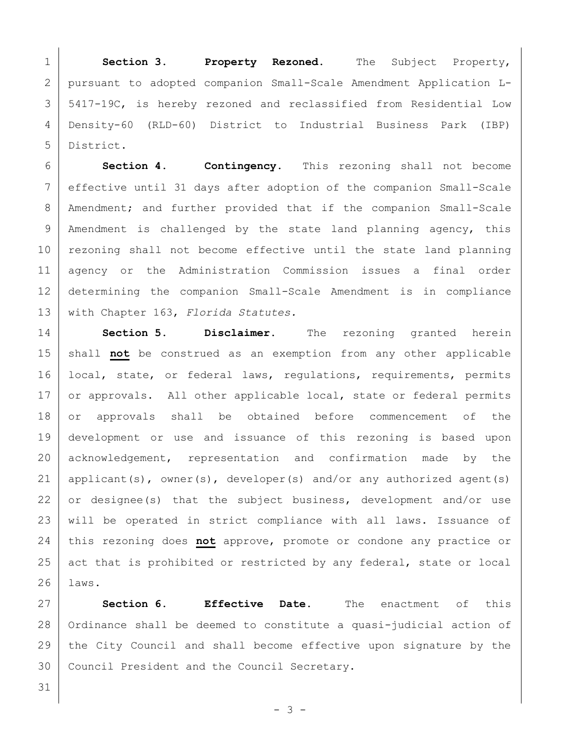**Section 3. Property Rezoned.** The Subject Property, pursuant to adopted companion Small-Scale Amendment Application L- 5417-19C, is hereby rezoned and reclassified from Residential Low Density-60 (RLD-60) District to Industrial Business Park (IBP) District.

 **Section 4. Contingency.** This rezoning shall not become effective until 31 days after adoption of the companion Small-Scale 8 | Amendment; and further provided that if the companion Small-Scale 9 | Amendment is challenged by the state land planning agency, this 10 rezoning shall not become effective until the state land planning agency or the Administration Commission issues a final order determining the companion Small-Scale Amendment is in compliance with Chapter 163, *Florida Statutes.*

14 **Section 5. Disclaimer.** The rezoning granted herein 15 shall **not** be construed as an exemption from any other applicable 16 | local, state, or federal laws, regulations, requirements, permits 17 or approvals. All other applicable local, state or federal permits 18 or approvals shall be obtained before commencement of the 19 development or use and issuance of this rezoning is based upon 20 acknowledgement, representation and confirmation made by the 21 | applicant(s), owner(s), developer(s) and/or any authorized agent(s) 22 or designee(s) that the subject business, development and/or use 23 | will be operated in strict compliance with all laws. Issuance of 24 this rezoning does **not** approve, promote or condone any practice or 25 act that is prohibited or restricted by any federal, state or local 26 laws.

27 **Section 6. Effective Date.** The enactment of this 28 | Ordinance shall be deemed to constitute a quasi-judicial action of 29 the City Council and shall become effective upon signature by the 30 Council President and the Council Secretary.

31

- 3 -